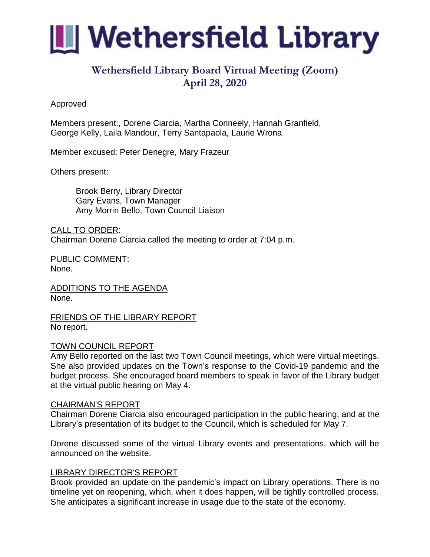

# **Wethersfield Library Board Virtual Meeting (Zoom) April 28, 2020**

## Approved

Members present:, Dorene Ciarcia, Martha Conneely, Hannah Granfield, George Kelly, Laila Mandour, Terry Santapaola, Laurie Wrona

Member excused: Peter Denegre, Mary Frazeur

Others present:

Brook Berry, Library Director Gary Evans, Town Manager Amy Morrin Bello, Town Council Liaison

CALL TO ORDER: Chairman Dorene Ciarcia called the meeting to order at 7:04 p.m.

PUBLIC COMMENT: None.

ADDITIONS TO THE AGENDA None.

FRIENDS OF THE LIBRARY REPORT No report.

## TOWN COUNCIL REPORT

Amy Bello reported on the last two Town Council meetings, which were virtual meetings. She also provided updates on the Town's response to the Covid-19 pandemic and the budget process. She encouraged board members to speak in favor of the Library budget at the virtual public hearing on May 4.

#### CHAIRMAN'S REPORT

Chairman Dorene Ciarcia also encouraged participation in the public hearing, and at the Library's presentation of its budget to the Council, which is scheduled for May 7.

Dorene discussed some of the virtual Library events and presentations, which will be announced on the website.

## LIBRARY DIRECTOR'S REPORT

Brook provided an update on the pandemic's impact on Library operations. There is no timeline yet on reopening, which, when it does happen, will be tightly controlled process. She anticipates a significant increase in usage due to the state of the economy.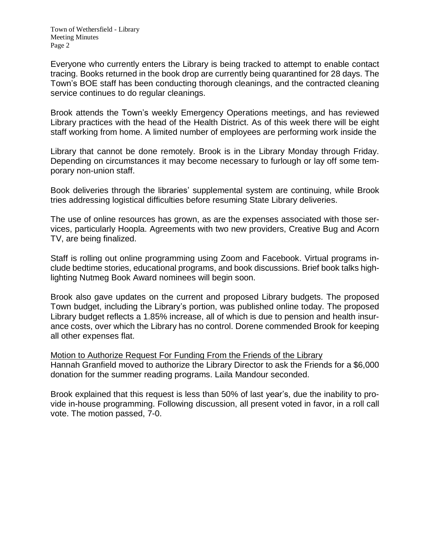Everyone who currently enters the Library is being tracked to attempt to enable contact tracing. Books returned in the book drop are currently being quarantined for 28 days. The Town's BOE staff has been conducting thorough cleanings, and the contracted cleaning service continues to do regular cleanings.

Brook attends the Town's weekly Emergency Operations meetings, and has reviewed Library practices with the head of the Health District. As of this week there will be eight staff working from home. A limited number of employees are performing work inside the

Library that cannot be done remotely. Brook is in the Library Monday through Friday. Depending on circumstances it may become necessary to furlough or lay off some temporary non-union staff.

Book deliveries through the libraries' supplemental system are continuing, while Brook tries addressing logistical difficulties before resuming State Library deliveries.

The use of online resources has grown, as are the expenses associated with those services, particularly Hoopla. Agreements with two new providers, Creative Bug and Acorn TV, are being finalized.

Staff is rolling out online programming using Zoom and Facebook. Virtual programs include bedtime stories, educational programs, and book discussions. Brief book talks highlighting Nutmeg Book Award nominees will begin soon.

Brook also gave updates on the current and proposed Library budgets. The proposed Town budget, including the Library's portion, was published online today. The proposed Library budget reflects a 1.85% increase, all of which is due to pension and health insurance costs, over which the Library has no control. Dorene commended Brook for keeping all other expenses flat.

Motion to Authorize Request For Funding From the Friends of the Library Hannah Granfield moved to authorize the Library Director to ask the Friends for a \$6,000 donation for the summer reading programs. Laila Mandour seconded.

Brook explained that this request is less than 50% of last year's, due the inability to provide in-house programming. Following discussion, all present voted in favor, in a roll call vote. The motion passed, 7-0.